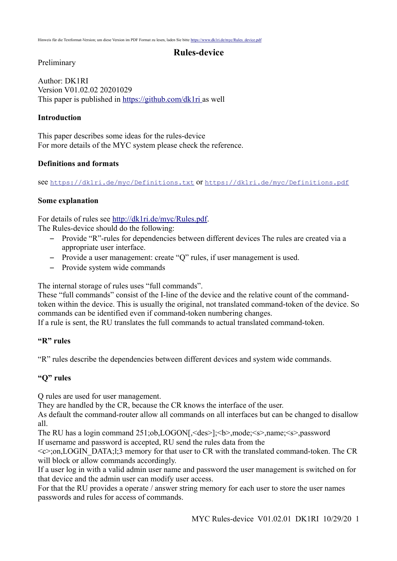### **Rules-device**

### Preliminary

Author: DK1RI Version V01.02.02 20201029 This paper is published in [https://github.com/dk1ri a](https://github.com/dk1ri)s well

### **Introduction**

This paper describes some ideas for the rules-device For more details of the MYC system please check the reference.

### **Definitions and formats**

see <https://dk1ri.de/myc/Definitions.txt> or <https://dk1ri.de/myc/Definitions.pdf>

### **Some explanation**

For details of rules see [http://dk1ri.de/myc/Rules.pdf.](http://dk1ri.de/myc/Rules.pdf)

The Rules-device should do the following:

- Provide "R"-rules for dependencies between different devices The rules are created via a appropriate user interface.
- Provide a user management: create "Q" rules, if user management is used.
- Provide system wide commands

The internal storage of rules uses "full commands".

These "full commands" consist of the I-line of the device and the relative count of the commandtoken within the device. This is usually the original, not translated command-token of the device. So commands can be identified even if command-token numbering changes.

If a rule is sent, the RU translates the full commands to actual translated command-token.

### **"R" rules**

"R" rules describe the dependencies between different devices and system wide commands.

### **"Q" rules**

Q rules are used for user management.

They are handled by the CR, because the CR knows the interface of the user.

As default the command-router allow all commands on all interfaces but can be changed to disallow all.

The RU has a login command 251;ob,LOGON[, <des>]; <br/>b>,mode; <s>,name; <s>,password If username and password is accepted, RU send the rules data from the

<c>;on,LOGIN\_DATA;l;3 memory for that user to CR with the translated command-token. The CR will block or allow commands accordingly.

If a user log in with a valid admin user name and password the user management is switched on for that device and the admin user can modify user access.

For that the RU provides a operate / answer string memory for each user to store the user names passwords and rules for access of commands.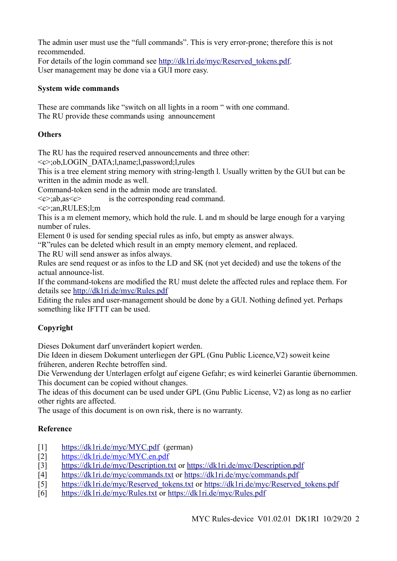The admin user must use the "full commands". This is very error-prone; therefore this is not recommended.

For details of the login command see [http://dk1ri.de/myc/Reserved\\_tokens.pdf.](http://dk1ri.de/myc/Reserved_tokens.pdf) User management may be done via a GUI more easy.

## **System wide commands**

These are commands like "switch on all lights in a room " with one command. The RU provide these commands using announcement

## **Others**

The RU has the required reserved announcements and three other:

<c>;ob,LOGIN\_DATA;l,name;l,password;l,rules

This is a tree element string memory with string-length l. Usually written by the GUI but can be written in the admin mode as well.

Command-token send in the admin mode are translated.

 $\langle c \rangle$ ;ab,as $\langle c \rangle$  is the corresponding read command.

 $\langle c \rangle$ :an,RULES;l;m

This is a m element memory, which hold the rule. L and m should be large enough for a varying number of rules.

Element 0 is used for sending special rules as info, but empty as answer always.

"R"rules can be deleted which result in an empty memory element, and replaced.

The RU will send answer as infos always.

Rules are send request or as infos to the LD and SK (not yet decided) and use the tokens of the actual announce-list.

If the command-tokens are modified the RU must delete the affected rules and replace them. For details see<http://dk1ri.de/myc/Rules.pdf>

Editing the rules and user-management should be done by a GUI. Nothing defined yet. Perhaps something like IFTTT can be used.

# **Copyright**

Dieses Dokument darf unverändert kopiert werden.

Die Ideen in diesem Dokument unterliegen der GPL (Gnu Public Licence,V2) soweit keine früheren, anderen Rechte betroffen sind.

Die Verwendung der Unterlagen erfolgt auf eigene Gefahr; es wird keinerlei Garantie übernommen. This document can be copied without changes.

The ideas of this document can be used under GPL (Gnu Public License, V2) as long as no earlier other rights are affected.

The usage of this document is on own risk, there is no warranty.

# **Reference**

- [1] <https://dk1ri.de/myc/MYC.pdf>(german)
- [2] [https://dk1ri.de/myc/MYC.en.pdf](https://dk1ri.de/myc/MYC_en.pdf)
- [3] <https://dk1ri.de/myc/Description.txt>or<https://dk1ri.de/myc/Description.pdf>
- [4] <https://dk1ri.de/myc/commands.txt>or<https://dk1ri.de/myc/commands.pdf>
- [5] [https://dk1ri.de/myc/Reserved\\_tokens.txt](https://dk1ri.de/myc/Reserved_tokens.txt) or [https://dk1ri.de/myc/Reserved\\_tokens.pdf](https://dk1ri.de/myc/Reserved_tokens.pdf)
- [6] <https://dk1ri.de/myc/Rules.txt>or<https://dk1ri.de/myc/Rules.pdf>